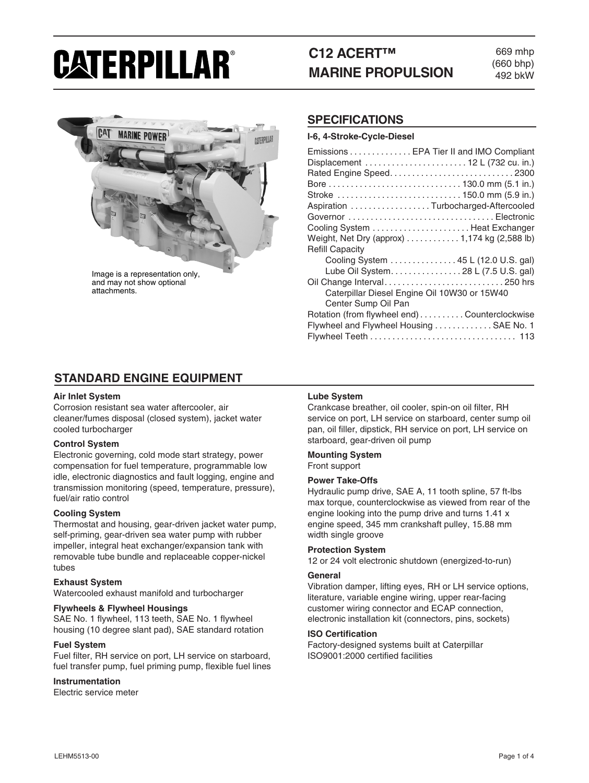# CATERPILLAR®

## **C12 ACERT™ MARINE PROPULSION**

669 mhp (660 bhp) 492 bkW



and may not show optional attachments.

#### **SPECIFICATIONS**

#### **I-6, 4-Stroke-Cycle-Diesel**

| Emissions  EPA Tier II and IMO Compliant     |
|----------------------------------------------|
|                                              |
|                                              |
|                                              |
| Stroke  150.0 mm (5.9 in.)                   |
| Aspiration Turbocharged-Aftercooled          |
| Governor Electronic                          |
|                                              |
| Weight, Net Dry (approx) 1,174 kg (2,588 lb) |
| <b>Refill Capacity</b>                       |
| Cooling System 45 L (12.0 U.S. gal)          |
| Lube Oil System. 28 L (7.5 U.S. gal)         |
|                                              |
| Caterpillar Diesel Engine Oil 10W30 or 15W40 |
| Center Sump Oil Pan                          |
| Rotation (from flywheel end)Counterclockwise |
| Flywheel and Flywheel Housing  SAE No. 1     |
|                                              |

### **STANDARD ENGINE EQUIPMENT**

#### **Air Inlet System**

Corrosion resistant sea water aftercooler, air cleaner/fumes disposal (closed system), jacket water cooled turbocharger

#### **Control System**

Electronic governing, cold mode start strategy, power compensation for fuel temperature, programmable low idle, electronic diagnostics and fault logging, engine and transmission monitoring (speed, temperature, pressure), fuel/air ratio control

#### **Cooling System**

Thermostat and housing, gear-driven jacket water pump, self-priming, gear-driven sea water pump with rubber impeller, integral heat exchanger/expansion tank with removable tube bundle and replaceable copper-nickel tubes

#### **Exhaust System**

Watercooled exhaust manifold and turbocharger

#### **Flywheels & Flywheel Housings**

SAE No. 1 flywheel, 113 teeth, SAE No. 1 flywheel housing (10 degree slant pad), SAE standard rotation

#### **Fuel System**

Fuel filter, RH service on port, LH service on starboard, fuel transfer pump, fuel priming pump, flexible fuel lines

#### **Instrumentation**

Electric service meter

#### **Lube System**

Crankcase breather, oil cooler, spin-on oil filter, RH service on port, LH service on starboard, center sump oil pan, oil filler, dipstick, RH service on port, LH service on starboard, gear-driven oil pump

#### **Mounting System** Front support

#### **Power Take-Offs**

Hydraulic pump drive, SAE A, 11 tooth spline, 57 ft-lbs max torque, counterclockwise as viewed from rear of the engine looking into the pump drive and turns 1.41 x engine speed, 345 mm crankshaft pulley, 15.88 mm width single groove

#### **Protection System**

12 or 24 volt electronic shutdown (energized-to-run)

#### **General**

Vibration damper, lifting eyes, RH or LH service options, literature, variable engine wiring, upper rear-facing customer wiring connector and ECAP connection, electronic installation kit (connectors, pins, sockets)

#### **ISO Certification**

Factory-designed systems built at Caterpillar ISO9001:2000 certified facilities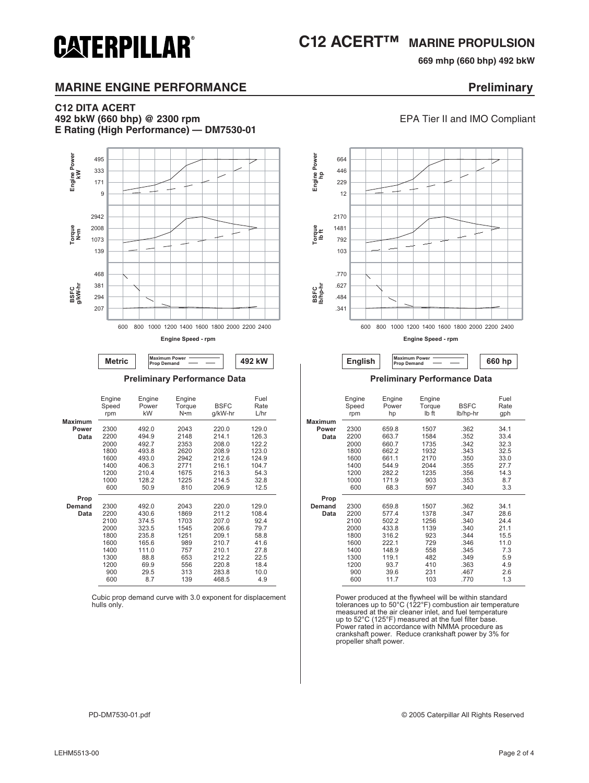## **C12 ACERT™ MARINE PROPULSION**

**669 mhp (660 bhp) 492 bkW** 

### **MARINE ENGINE PERFORMANCE EXAMPLE 2008 Preliminary**

**CATERPILLAR®** 

#### **C12 DITA ACERT 492 bkW (660 bhp) @ 2300 rpm** EPA Tier II and IMO Compliant

**E Rating (High Performance) — DM7530-01**



**Engine Speed - rpm**



|                | Engine<br>Speed<br>rpm | Engine<br>Power<br>kW | Engine<br>Torque<br>$N \cdot m$ | <b>BSFC</b><br>g/kW-hr | Fuel<br>Rate<br>L/hr |
|----------------|------------------------|-----------------------|---------------------------------|------------------------|----------------------|
| <b>Maximum</b> |                        |                       |                                 |                        |                      |
| Power          | 2300                   | 492.0                 | 2043                            | 220.0                  | 129.0                |
| Data           | 2200                   | 494.9                 | 2148                            | 214.1                  | 126.3                |
|                | 2000                   | 492.7                 | 2353                            | 208.0                  | 122.2                |
|                | 1800                   | 493.8                 | 2620                            | 208.9                  | 123.0                |
|                | 1600                   | 493.0                 | 2942                            | 212.6                  | 124.9                |
|                | 1400                   | 406.3                 | 2771                            | 216.1                  | 104.7                |
|                | 1200                   | 210.4                 | 1675                            | 216.3                  | 54.3                 |
|                | 1000                   | 128.2                 | 1225                            | 214.5                  | 32.8                 |
|                | 600                    | 50.9                  | 810                             | 206.9                  | 12.5                 |
| Prop           |                        |                       |                                 |                        |                      |
| Demand         | 2300                   | 492.0                 | 2043                            | 220.0                  | 129.0                |
| Data           | 2200                   | 430.6                 | 1869                            | 211.2                  | 108.4                |
|                | 2100                   | 374.5                 | 1703                            | 207.0                  | 92.4                 |
|                | 2000                   | 323.5                 | 1545                            | 206.6                  | 79.7                 |
|                | 1800                   | 235.8                 | 1251                            | 209.1                  | 58.8                 |
|                | 1600                   | 165.6                 | 989                             | 210.7                  | 41.6                 |
|                | 1400                   | 111.0                 | 757                             | 210.1                  | 27.8                 |
|                | 1300                   | 88.8                  | 653                             | 212.2                  | 22.5                 |
|                | 1200                   | 69.9                  | 556                             | 220.8                  | 18.4                 |
|                | 900                    | 29.5                  | 313                             | 283.8                  | 10.0                 |
|                | 600                    | 8.7                   | 139                             | 468.5                  | 4.9                  |

Cubic prop demand curve with 3.0 exponent for displacement hulls only.



#### **Preliminary Performance Data Preliminary Performance Data**

| Engine<br>Speed<br>rpm | Engine<br>Power<br>kW | Engine<br>Torque<br>N•m | <b>BSFC</b><br>g/kW-hr | Fuel<br>Rate<br>L/hr |                | Engine<br>Speed<br>rpm | Engine<br>Power<br>hp | Engine<br>Torque<br>Ib ft | <b>BSFC</b><br>lb/hp-hr | Fuel<br>Rate<br>gph |  |
|------------------------|-----------------------|-------------------------|------------------------|----------------------|----------------|------------------------|-----------------------|---------------------------|-------------------------|---------------------|--|
|                        |                       |                         |                        |                      | <b>Maximum</b> |                        |                       |                           |                         |                     |  |
| 2300                   | 492.0                 | 2043                    | 220.0                  | 129.0                | Power          | 2300                   | 659.8                 | 1507                      | .362                    | 34.1                |  |
| 2200                   | 494.9                 | 2148                    | 214.1                  | 126.3                | Data           | 2200                   | 663.7                 | 1584                      | .352                    | 33.4                |  |
| 2000                   | 492.7                 | 2353                    | 208.0                  | 122.2                |                | 2000                   | 660.7                 | 1735                      | .342                    | 32.3                |  |
| 1800                   | 493.8                 | 2620                    | 208.9                  | 123.0                |                | 1800                   | 662.2                 | 1932                      | .343                    | 32.5                |  |
| 1600                   | 493.0                 | 2942                    | 212.6                  | 124.9                |                | 1600                   | 661.1                 | 2170                      | .350                    | 33.0                |  |
| 1400                   | 406.3                 | 2771                    | 216.1                  | 104.7                |                | 1400                   | 544.9                 | 2044                      | .355                    | 27.7                |  |
| 1200                   | 210.4                 | 1675                    | 216.3                  | 54.3                 |                | 1200                   | 282.2                 | 1235                      | .356                    | 14.3                |  |
| 1000                   | 128.2                 | 1225                    | 214.5                  | 32.8                 |                | 1000                   | 171.9                 | 903                       | .353                    | 8.7                 |  |
| 600                    | 50.9                  | 810                     | 206.9                  | 12.5                 |                | 600                    | 68.3                  | 597                       | .340                    | 3.3                 |  |
|                        |                       |                         |                        |                      | Prop           |                        |                       |                           |                         |                     |  |
| 2300                   | 492.0                 | 2043                    | 220.0                  | 129.0                | Demand         | 2300                   | 659.8                 | 1507                      | .362                    | 34.1                |  |
| 2200                   | 430.6                 | 1869                    | 211.2                  | 108.4                | Data           | 2200                   | 577.4                 | 1378                      | .347                    | 28.6                |  |
| 2100                   | 374.5                 | 1703                    | 207.0                  | 92.4                 |                | 2100                   | 502.2                 | 1256                      | .340                    | 24.4                |  |
| 2000                   | 323.5                 | 1545                    | 206.6                  | 79.7                 |                | 2000                   | 433.8                 | 1139                      | .340                    | 21.1                |  |
| 1800                   | 235.8                 | 1251                    | 209.1                  | 58.8                 |                | 1800                   | 316.2                 | 923                       | .344                    | 15.5                |  |
| 1600                   | 165.6                 | 989                     | 210.7                  | 41.6                 |                | 1600                   | 222.1                 | 729                       | .346                    | 11.0                |  |
| 1400                   | 111.0                 | 757                     | 210.1                  | 27.8                 |                | 1400                   | 148.9                 | 558                       | .345                    | 7.3                 |  |
| 1300                   | 88.8                  | 653                     | 212.2                  | 22.5                 |                | 1300                   | 119.1                 | 482                       | .349                    | 5.9                 |  |
| 1200                   | 69.9                  | 556                     | 220.8                  | 18.4                 |                | 1200                   | 93.7                  | 410                       | .363                    | 4.9                 |  |
| 900                    | 29.5                  | 313                     | 283.8                  | 10.0                 |                | 900                    | 39.6                  | 231                       | .467                    | 2.6                 |  |
| 600                    | 8.7                   | 139                     | 468.5                  | 4.9                  |                | 600                    | 11.7                  | 103                       | .770                    | 1.3                 |  |
|                        |                       |                         |                        |                      |                |                        |                       |                           |                         |                     |  |

Power produced at the flywheel will be within standard tolerances up to 50°C (122°F) combustion air temperature measured at the air cleaner inlet, and fuel temperature up to 52°C (125°F) measured at the fuel filter base. Power rated in accordance with NMMA procedure as crankshaft power. Reduce crankshaft power by 3% for propeller shaft power.

PD-DM7530-01.pdf © 2005 Caterpillar All Rights Reserved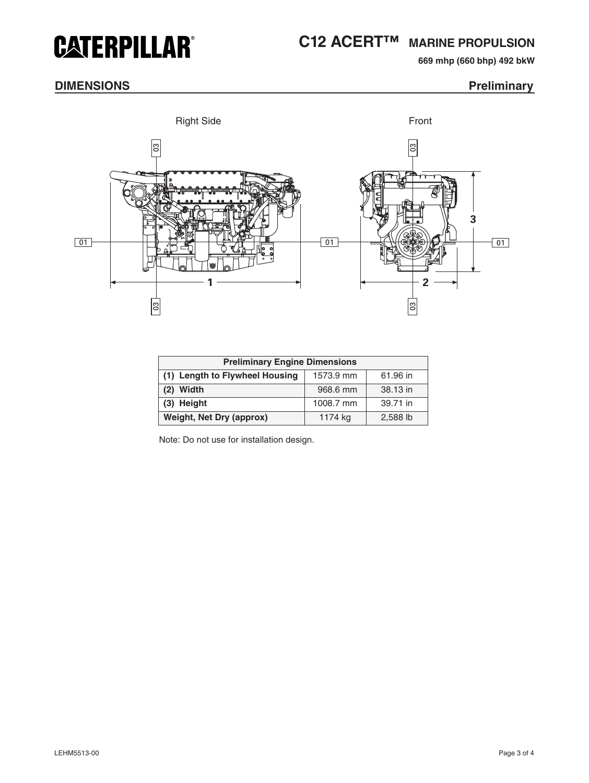## **CATERPILLAR®**

## **C12 ACERT™ MARINE PROPULSION**

**669 mhp (660 bhp) 492 bkW** 

### **DIMENSIONS** Preliminary





| <b>Preliminary Engine Dimensions</b> |           |          |  |  |
|--------------------------------------|-----------|----------|--|--|
| (1) Length to Flywheel Housing       | 1573.9 mm | 61.96 in |  |  |
| $(2)$ Width                          | 968.6 mm  | 38.13 in |  |  |
| (3) Height                           | 1008.7 mm | 39.71 in |  |  |
| <b>Weight, Net Dry (approx)</b>      | 1174 kg   | 2,588 lb |  |  |

Note: Do not use for installation design.